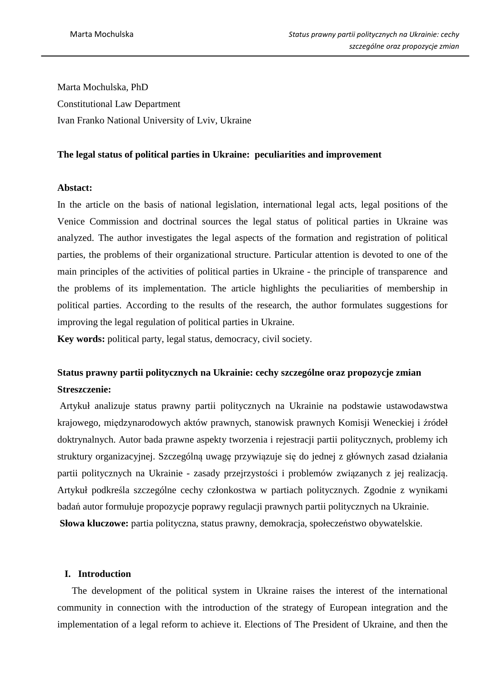Marta Mochulska, PhD Constitutional Law Department Ivan Franko National University of Lviv, Ukraine

### **The legal status of political parties in Ukraine: peculiarities and improvement**

# **Abstact:**

In the article on the basis of national legislation, international legal acts, legal positions of the Venice Commission and doctrinal sources the legal status of political parties in Ukraine was analyzed. The author investigates the legal aspects of the formation and registration of political parties, the problems of their organizational structure. Particular attention is devoted to one of the main principles of the activities of political parties in Ukraine - the principle of transparence and the problems of its implementation. The article highlights the peculiarities of membership in political parties. According to the results of the research, the author formulates suggestions for improving the legal regulation of political parties in Ukraine.

**Key words:** political party, legal status, democracy, civil society.

# **Status prawny partii politycznych na Ukrainie: cechy szczególne oraz propozycje zmian Streszczenie:**

 Artykuł analizuje status prawny partii politycznych na Ukrainie na podstawie ustawodawstwa krajowego, międzynarodowych aktów prawnych, stanowisk prawnych Komisji Weneckiej i źródeł doktrynalnych. Autor bada prawne aspekty tworzenia i rejestracji partii politycznych, problemy ich struktury organizacyjnej. Szczególną uwagę przywiązuje się do jednej z głównych zasad działania partii politycznych na Ukrainie - zasady przejrzystości i problemów związanych z jej realizacją. Artykuł podkreśla szczególne cechy członkostwa w partiach politycznych. Zgodnie z wynikami badań autor formułuje propozycje poprawy regulacji prawnych partii politycznych na Ukrainie. **Słowa kluczowe:** partia polityczna, status prawny, demokracja, społeczeństwo obywatelskie.

# **I. Introduction**

 The development of the political system in Ukraine raises the interest of the international community in connection with the introduction of the strategy of European integration and the implementation of a legal reform to achieve it. Elections of The President of Ukraine, and then the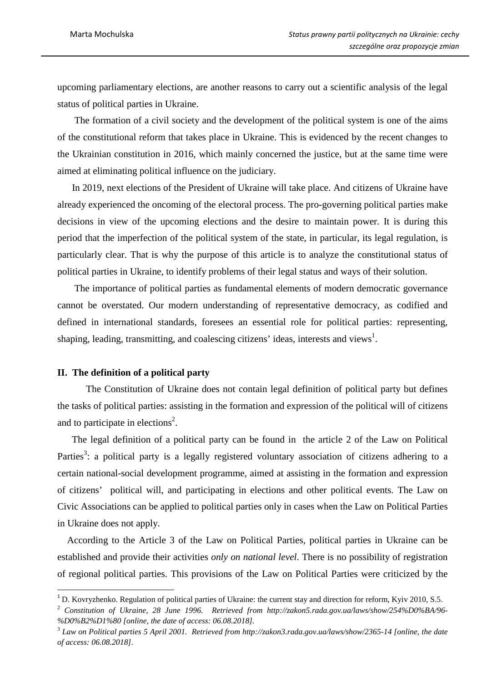upcoming parliamentary elections, are another reasons to carry out a scientific analysis of the legal status of political parties in Ukraine.

 The formation of a civil society and the development of the political system is one of the aims of the constitutional reform that takes place in Ukraine. This is evidenced by the recent changes to the Ukrainian constitution in 2016, which mainly concerned the justice, but at the same time were aimed at eliminating political influence on the judiciary.

 In 2019, next elections of the President of Ukraine will take place. And citizens of Ukraine have already experienced the oncoming of the electoral process. The pro-governing political parties make decisions in view of the upcoming elections and the desire to maintain power. It is during this period that the imperfection of the political system of the state, in particular, its legal regulation, is particularly clear. That is why the purpose of this article is to analyze the constitutional status of political parties in Ukraine, to identify problems of their legal status and ways of their solution.

 The importance of political parties as fundamental elements of modern democratic governance cannot be overstated. Our modern understanding of representative democracy, as codified and defined in international standards, foresees an essential role for political parties: representing, shaping, leading, transmitting, and coalescing citizens' ideas, interests and views<sup>1</sup>.

#### **II. The definition of a political party**

l

The Constitution of Ukraine does not contain legal definition of political party but defines the tasks of political parties: assisting in the formation and expression of the political will of citizens and to participate in elections<sup>2</sup>.

 The legal definition of a political party can be found in the article 2 of the Law on Political Parties<sup>3</sup>: a political party is a legally registered voluntary association of citizens adhering to a certain national-social development programme, aimed at assisting in the formation and expression of citizens' political will, and participating in elections and other political events. The Law on Civic Associations can be applied to political parties only in cases when the Law on Political Parties in Ukraine does not apply.

 According to the Article 3 of the Law on Political Parties, political parties in Ukraine can be established and provide their activities *only on national level*. There is no possibility of registration of regional political parties. This provisions of the Law on Political Parties were criticized by the

<sup>&</sup>lt;sup>1</sup> D. Kovryzhenko. Regulation of political parties of Ukraine: the current stay and direction for reform, Kyiv 2010, S.5.

<sup>2</sup> *Constitution of Ukraine, 28 June 1996. Retrieved from http://zakon5.rada.gov.ua/laws/show/254%D0%BA/96- %D0%B2%D1%80 [online, the date of access: 06.08.2018].*

<sup>3</sup> *Law on Political parties 5 April 2001. Retrieved from http://zakon3.rada.gov.ua/laws/show/2365-14 [online, the date of access: 06.08.2018].*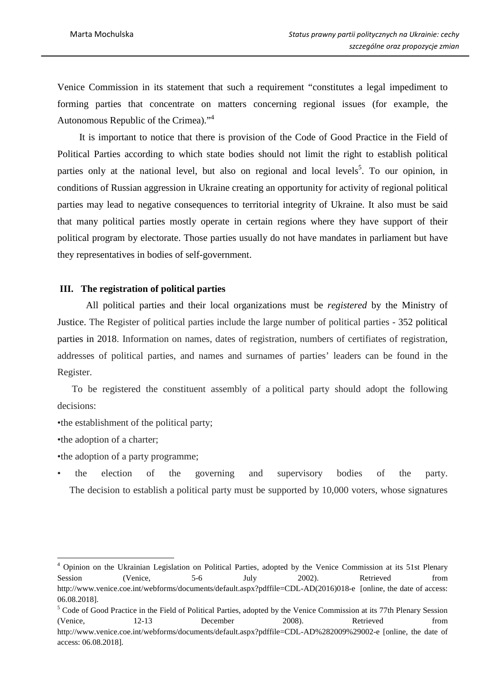Venice Commission in its statement that such a requirement "constitutes a legal impediment to forming parties that concentrate on matters concerning regional issues (for example, the Autonomous Republic of the Crimea)."<sup>4</sup>

 It is important to notice that there is provision of the Code of Good Practice in the Field of Political Parties according to which state bodies should not limit the right to establish political parties only at the national level, but also on regional and local levels<sup>5</sup>. To our opinion, in conditions of Russian aggression in Ukraine creating an opportunity for activity of regional political parties may lead to negative consequences to territorial integrity of Ukraine. It also must be said that many political parties mostly operate in certain regions where they have support of their political program by electorate. Those parties usually do not have mandates in parliament but have they representatives in bodies of self-government.

#### **III. The registration of political parties**

All political parties and their local organizations must be *registered* by the Ministry of Justice. The Register of political parties include the large number of political parties - 352 political parties in 2018. Information on names, dates of registration, numbers of certifiates of registration, addresses of political parties, and names and surnames of parties' leaders can be found in the Register.

 To be registered the constituent assembly of a political party should adopt the following decisions:

•the establishment of the political party;

•the adoption of a charter;

l

- •the adoption of a party programme;
- the election of the governing and supervisory bodies of the party. The decision to establish a political party must be supported by 10,000 voters, whose signatures

<sup>&</sup>lt;sup>4</sup> Opinion on the Ukrainian Legislation on Political Parties, adopted by the Venice Commission at its 51st Plenary Session (Venice, 5-6 July 2002). Retrieved from http://www.venice.coe.int/webforms/documents/default.aspx?pdffile=CDL-AD(2016)018-e [online, the date of access: 06.08.2018].

<sup>&</sup>lt;sup>5</sup> Code of Good Practice in the Field of Political Parties, adopted by the Venice Commission at its 77th Plenary Session (Venice, 12-13 December 2008). Retrieved from http://www.venice.coe.int/webforms/documents/default.aspx?pdffile=CDL-AD%282009%29002-e [online, the date of access: 06.08.2018].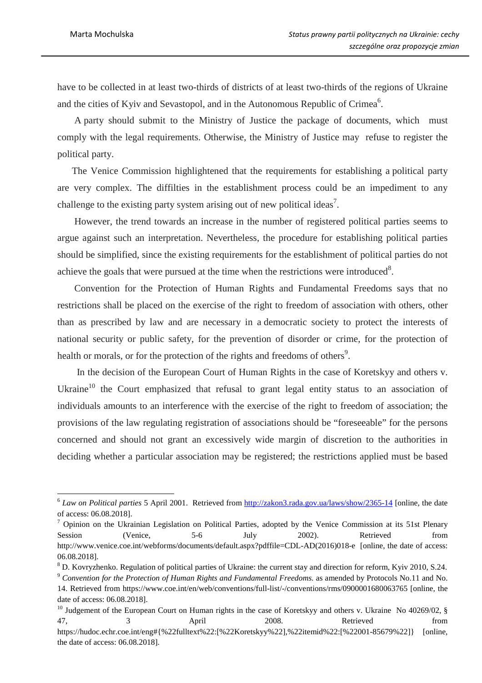$\overline{a}$ 

have to be collected in at least two-thirds of districts of at least two-thirds of the regions of Ukraine and the cities of Kyiv and Sevastopol, and in the Autonomous Republic of Crimea<sup>6</sup>.

 A party should submit to the Ministry of Justice the package of documents, which must comply with the legal requirements. Otherwise, the Ministry of Justice may refuse to register the political party.

 The Venice Commission highlightened that the requirements for establishing a political party are very complex. The diffilties in the establishment process could be an impediment to any challenge to the existing party system arising out of new political ideas<sup>7</sup>.

 However, the trend towards an increase in the number of registered political parties seems to argue against such an interpretation. Nevertheless, the procedure for establishing political parties should be simplified, since the existing requirements for the establishment of political parties do not achieve the goals that were pursued at the time when the restrictions were introduced<sup>8</sup>.

 Convention for the Protection of Human Rights and Fundamental Freedoms says that no restrictions shall be placed on the exercise of the right to freedom of association with others, other than as prescribed by law and are necessary in a democratic society to protect the interests of national security or public safety, for the prevention of disorder or crime, for the protection of health or morals, or for the protection of the rights and freedoms of others<sup>9</sup>.

 In the decision of the European Court of Human Rights in the case of Koretskyy and others v. Ukraine<sup>10</sup> the Court emphasized that refusal to grant legal entity status to an association of individuals amounts to an interference with the exercise of the right to freedom of association; the provisions of the law regulating registration of associations should be "foreseeable" for the persons concerned and should not grant an excessively wide margin of discretion to the authorities in deciding whether a particular association may be registered; the restrictions applied must be based

<sup>&</sup>lt;sup>6</sup> Law on Political parties 5 April 2001. Retrieved from http://zakon3.rada.gov.ua/laws/show/2365-14 [online, the date of access: 06.08.2018].

 $^7$  Opinion on the Ukrainian Legislation on Political Parties, adopted by the Venice Commission at its 51st Plenary Session (Venice, 5-6 July 2002). Retrieved from http://www.venice.coe.int/webforms/documents/default.aspx?pdffile=CDL-AD(2016)018-e [online, the date of access: 06.08.2018].

<sup>&</sup>lt;sup>8</sup> D. Kovryzhenko. Regulation of political parties of Ukraine: the current stay and direction for reform, Kyiv 2010, S.24.

<sup>9</sup> *Convention for the Protection of Human Rights and Fundamental Freedoms.* as amended by Protocols No.11 and No. 14. Retrieved from https://www.coe.int/en/web/conventions/full-list/-/conventions/rms/0900001680063765 [online, the date of access: 06.08.2018].

<sup>&</sup>lt;sup>10</sup> Judgement of the European Court on Human rights in the case of Koretskyy and others v. Ukraine No 40269/02, § 47, 3 April 2008. Retrieved from https://hudoc.echr.coe.int/eng#{%22fulltext%22:[%22Koretskyy%22],%22itemid%22:[%22001-85679%22]} [online, the date of access: 06.08.2018].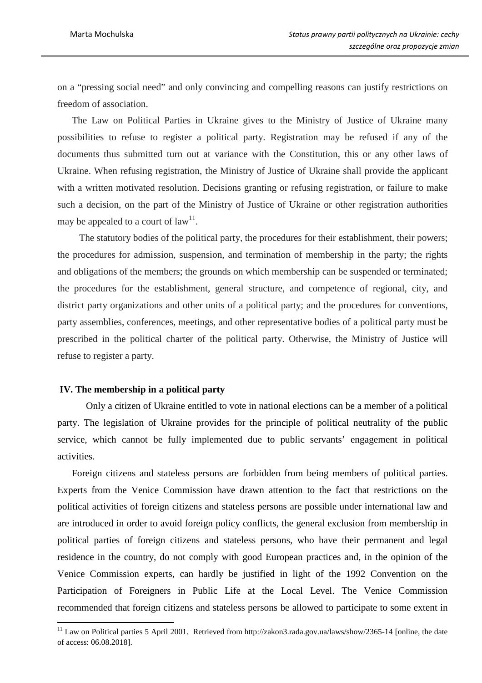on a "pressing social need" and only convincing and compelling reasons can justify restrictions on freedom of association.

 The Law on Political Parties in Ukraine gives to the Ministry of Justice of Ukraine many possibilities to refuse to register a political party. Registration may be refused if any of the documents thus submitted turn out at variance with the Constitution, this or any other laws of Ukraine. When refusing registration, the Ministry of Justice of Ukraine shall provide the applicant with a written motivated resolution. Decisions granting or refusing registration, or failure to make such a decision, on the part of the Ministry of Justice of Ukraine or other registration authorities may be appealed to a court of  $law<sup>11</sup>$ .

 The statutory bodies of the political party, the procedures for their establishment, their powers; the procedures for admission, suspension, and termination of membership in the party; the rights and obligations of the members; the grounds on which membership can be suspended or terminated; the procedures for the establishment, general structure, and competence of regional, city, and district party organizations and other units of a political party; and the procedures for conventions, party assemblies, conferences, meetings, and other representative bodies of a political party must be prescribed in the political charter of the political party. Otherwise, the Ministry of Justice will refuse to register a party.

#### **IV. The membership in a political party**

 $\overline{a}$ 

Only a citizen of Ukraine entitled to vote in national elections can be a member of a political party. The legislation of Ukraine provides for the principle of political neutrality of the public service, which cannot be fully implemented due to public servants' engagement in political activities.

 Foreign citizens and stateless persons are forbidden from being members of political parties. Experts from the Venice Commission have drawn attention to the fact that restrictions on the political activities of foreign citizens and stateless persons are possible under international law and are introduced in order to avoid foreign policy conflicts, the general exclusion from membership in political parties of foreign citizens and stateless persons, who have their permanent and legal residence in the country, do not comply with good European practices and, in the opinion of the Venice Commission experts, can hardly be justified in light of the 1992 Convention on the Participation of Foreigners in Public Life at the Local Level. The Venice Commission recommended that foreign citizens and stateless persons be allowed to participate to some extent in

 $11$  Law on Political parties 5 April 2001. Retrieved from http://zakon3.rada.gov.ua/laws/show/2365-14 [online, the date of access: 06.08.2018].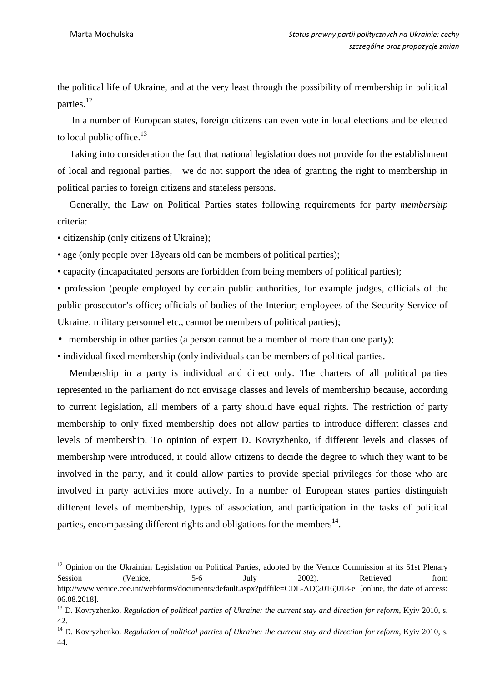the political life of Ukraine, and at the very least through the possibility of membership in political parties.<sup>12</sup>

 In a number of European states, foreign citizens can even vote in local elections and be elected to local public office.<sup>13</sup>

 Taking into consideration the fact that national legislation does not provide for the establishment of local and regional parties, we do not support the idea of granting the right to membership in political parties to foreign citizens and stateless persons.

 Generally, the Law on Political Parties states following requirements for party *membership* criteria:

• citizenship (only citizens of Ukraine);

l

• age (only people over 18 years old can be members of political parties);

• capacity (incapacitated persons are forbidden from being members of political parties);

• profession (people employed by certain public authorities, for example judges, officials of the public prosecutor's office; officials of bodies of the Interior; employees of the Security Service of Ukraine; military personnel etc., cannot be members of political parties);

• membership in other parties (a person cannot be a member of more than one party);

• individual fixed membership (only individuals can be members of political parties.

 Membership in a party is individual and direct only. The charters of all political parties represented in the parliament do not envisage classes and levels of membership because, according to current legislation, all members of a party should have equal rights. The restriction of party membership to only fixed membership does not allow parties to introduce different classes and levels of membership. To opinion of expert D. Kovryzhenko, if different levels and classes of membership were introduced, it could allow citizens to decide the degree to which they want to be involved in the party, and it could allow parties to provide special privileges for those who are involved in party activities more actively. In a number of European states parties distinguish different levels of membership, types of association, and participation in the tasks of political parties, encompassing different rights and obligations for the members $^{14}$ .

<sup>&</sup>lt;sup>12</sup> Opinion on the Ukrainian Legislation on Political Parties, adopted by the Venice Commission at its 51st Plenary Session (Venice, 5-6 July 2002). Retrieved from http://www.venice.coe.int/webforms/documents/default.aspx?pdffile=CDL-AD(2016)018-e [online, the date of access: 06.08.2018].

<sup>&</sup>lt;sup>13</sup> D. Kovryzhenko. *Regulation of political parties of Ukraine: the current stay and direction for reform, Kyiv 2010, s.* 42.

<sup>&</sup>lt;sup>14</sup> D. Kovryzhenko. *Regulation of political parties of Ukraine: the current stay and direction for reform, Kyiv 2010, s.* 44.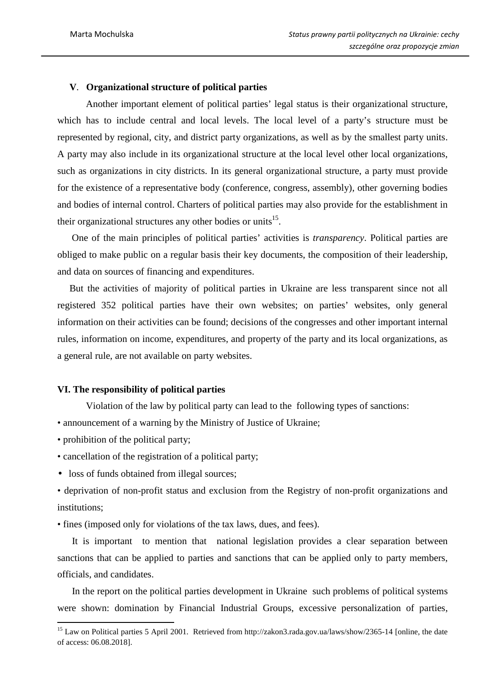# **V**. **Organizational structure of political parties**

Another important element of political parties' legal status is their organizational structure, which has to include central and local levels. The local level of a party's structure must be represented by regional, city, and district party organizations, as well as by the smallest party units. A party may also include in its organizational structure at the local level other local organizations, such as organizations in city districts. In its general organizational structure, a party must provide for the existence of a representative body (conference, congress, assembly), other governing bodies and bodies of internal control. Charters of political parties may also provide for the establishment in their organizational structures any other bodies or units<sup>15</sup>.

 One of the main principles of political parties' activities is *transparency*. Political parties are obliged to make public on a regular basis their key documents, the composition of their leadership, and data on sources of financing and expenditures.

 But the activities of majority of political parties in Ukraine are less transparent since not all registered 352 political parties have their own websites; on parties' websites, only general information on their activities can be found; decisions of the congresses and other important internal rules, information on income, expenditures, and property of the party and its local organizations, as a general rule, are not available on party websites.

# **VI. The responsibility of political parties**

Violation of the law by political party can lead to the following types of sanctions:

• announcement of a warning by the Ministry of Justice of Ukraine;

• prohibition of the political party;

 $\overline{a}$ 

- cancellation of the registration of a political party;
- loss of funds obtained from illegal sources;
- deprivation of non-profit status and exclusion from the Registry of non-profit organizations and institutions;
- fines (imposed only for violations of the tax laws, dues, and fees).

 It is important to mention that national legislation provides a clear separation between sanctions that can be applied to parties and sanctions that can be applied only to party members, officials, and candidates.

 In the report on the political parties development in Ukraine such problems of political systems were shown: domination by Financial Industrial Groups, excessive personalization of parties,

<sup>&</sup>lt;sup>15</sup> Law on Political parties 5 April 2001. Retrieved from http://zakon3.rada.gov.ua/laws/show/2365-14 [online, the date of access: 06.08.2018].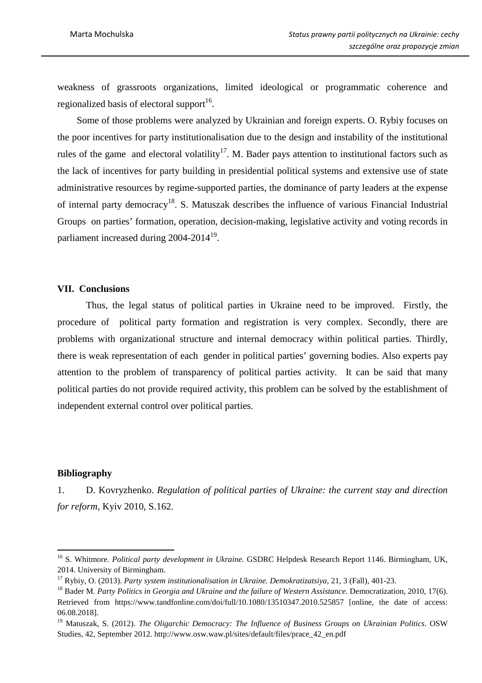weakness of grassroots organizations, limited ideological or programmatic coherence and regionalized basis of electoral support<sup>16</sup>.

 Some of those problems were analyzed by Ukrainian and foreign experts. O. Rybiy focuses on the poor incentives for party institutionalisation due to the design and instability of the institutional rules of the game and electoral volatility<sup>17</sup>. M. Bader pays attention to institutional factors such as the lack of incentives for party building in presidential political systems and extensive use of state administrative resources by regime-supported parties, the dominance of party leaders at the expense of internal party democracy<sup>18</sup>. S. Matuszak describes the influence of various Financial Industrial Groups on parties' formation, operation, decision-making, legislative activity and voting records in parliament increased during 2004-2014<sup>19</sup>.

#### **VII. Conclusions**

Thus, the legal status of political parties in Ukraine need to be improved. Firstly, the procedure of political party formation and registration is very complex. Secondly, there are problems with organizational structure and internal democracy within political parties. Thirdly, there is weak representation of each gender in political parties' governing bodies. Also experts pay attention to the problem of transparency of political parties activity. It can be said that many political parties do not provide required activity, this problem can be solved by the establishment of independent external control over political parties.

#### **Bibliography**

 $\overline{a}$ 

1. D. Kovryzhenko. *Regulation of political parties of Ukraine: the current stay and direction for reform*, Kyiv 2010, S.162.

<sup>&</sup>lt;sup>16</sup> S. Whitmore. *Political party development in Ukraine*. GSDRC Helpdesk Research Report 1146. Birmingham, UK, 2014. University of Birmingham.

<sup>17</sup> Rybiy, O. (2013). *Party system institutionalisation in Ukraine. Demokratizatsiya*, 21, 3 (Fall), 401-23.

<sup>&</sup>lt;sup>18</sup> Bader M. Party Politics in Georgia and Ukraine and the failure of Western Assistance. Democratization, 2010, 17(6). Retrieved from https://www.tandfonline.com/doi/full/10.1080/13510347.2010.525857 [online, the date of access: 06.08.2018].

<sup>19</sup> Matuszak, S. (2012). *The Oligarchic Democracy: The Influence of Business Groups on Ukrainian Politics*. OSW Studies, 42, September 2012. http://www.osw.waw.pl/sites/default/files/prace\_42\_en.pdf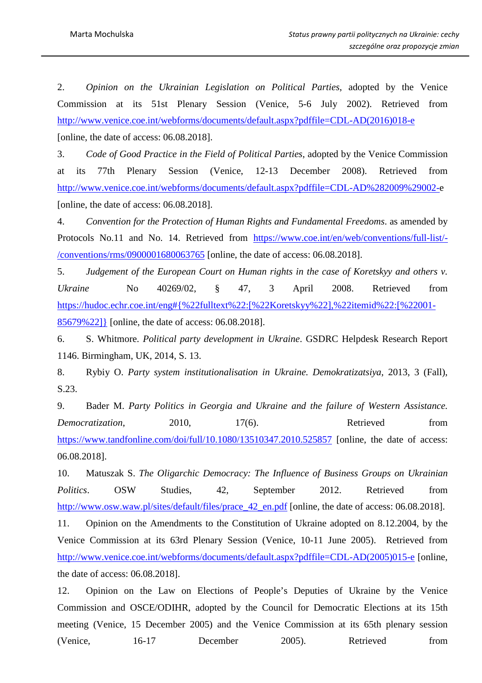2. *Opinion on the Ukrainian Legislation on Political Parties*, adopted by the Venice Commission at its 51st Plenary Session (Venice, 5-6 July 2002). Retrieved from http://www.venice.coe.int/webforms/documents/default.aspx?pdffile=CDL-AD(2016)018-e [online, the date of access: 06.08.2018].

3. *Code of Good Practice in the Field of Political Parties*, adopted by the Venice Commission at its 77th Plenary Session (Venice, 12-13 December 2008). Retrieved from http://www.venice.coe.int/webforms/documents/default.aspx?pdffile=CDL-AD%282009%29002-e [online, the date of access: 06.08.2018].

4. *Convention for the Protection of Human Rights and Fundamental Freedoms*. as amended by Protocols No.11 and No. 14. Retrieved from https://www.coe.int/en/web/conventions/full-list/- /conventions/rms/0900001680063765 [online, the date of access: 06.08.2018].

5. *Judgement of the European Court on Human rights in the case of Koretskyy and others v. Ukraine* No 40269/02, § 47, 3 April 2008. Retrieved from https://hudoc.echr.coe.int/eng#{%22fulltext%22:[%22Koretskyy%22],%22itemid%22:[%22001- 85679%22]} [online, the date of access: 06.08.2018].

6. S. Whitmore. *Political party development in Ukraine*. GSDRC Helpdesk Research Report 1146. Birmingham, UK, 2014, S. 13.

8. Rybiy O. *Party system institutionalisation in Ukraine. Demokratizatsiya*, 2013, 3 (Fall), S.23.

9. Bader M. *Party Politics in Georgia and Ukraine and the failure of Western Assistance. Democratization*, 2010, 17(6). Retrieved from https://www.tandfonline.com/doi/full/10.1080/13510347.2010.525857 [online, the date of access: 06.08.2018].

10. Matuszak S. *The Oligarchic Democracy: The Influence of Business Groups on Ukrainian*  Politics. OSW Studies, 42, September 2012. Retrieved from http://www.osw.waw.pl/sites/default/files/prace 42 en.pdf [online, the date of access: 06.08.2018].

11. Opinion on the Amendments to the Constitution of Ukraine adopted on 8.12.2004, by the Venice Commission at its 63rd Plenary Session (Venice, 10-11 June 2005). Retrieved from http://www.venice.coe.int/webforms/documents/default.aspx?pdffile=CDL-AD(2005)015-e [online, the date of access: 06.08.2018].

12. Opinion on the Law on Elections of People's Deputies of Ukraine by the Venice Commission and OSCE/ODIHR, adopted by the Council for Democratic Elections at its 15th meeting (Venice, 15 December 2005) and the Venice Commission at its 65th plenary session (Venice, 16-17 December 2005). Retrieved from